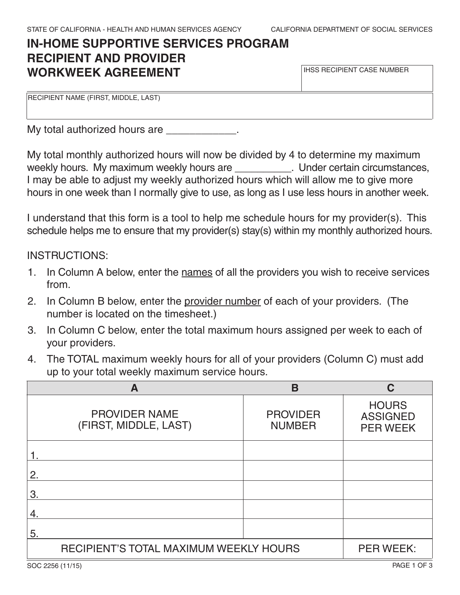IHSS RECIPIENT CASE NUMBER

# **IN-HOME SUPPORTIVE SERVICES PROGRAM RECIPIENT AND PROVIDER WORKWEEK AGREEMENT**

RECIPIENT NAME (FIRST, MIDDLE, LAST)

My total authorized hours are **EXALL** 

My total monthly authorized hours will now be divided by 4 to determine my maximum weekly hours. My maximum weekly hours are **With Lunder Cettain circumstances**, I may be able to adjust my weekly authorized hours which will allow me to give more hours in one week than I normally give to use, as long as I use less hours in another week.

I understand that this form is a tool to help me schedule hours for my provider(s). This schedule helps me to ensure that my provider(s) stay(s) within my monthly authorized hours.

#### INSTRUCTIONS:

- 1. In Column A below, enter the names of all the providers you wish to receive services from.
- 2. In Column B below, enter the provider number of each of your providers. (The number is located on the timesheet.)
- 3. In Column C below, enter the total maximum hours assigned per week to each of your providers.
- 4. The TOTAL maximum weekly hours for all of your providers (Column C) must add up to your total weekly maximum service hours.

| A                                             | В                                |                                                    |
|-----------------------------------------------|----------------------------------|----------------------------------------------------|
| <b>PROVIDER NAME</b><br>(FIRST, MIDDLE, LAST) | <b>PROVIDER</b><br><b>NUMBER</b> | <b>HOURS</b><br><b>ASSIGNED</b><br><b>PER WEEK</b> |
|                                               |                                  |                                                    |
| 2.                                            |                                  |                                                    |
| З.                                            |                                  |                                                    |
| 4.                                            |                                  |                                                    |
| 5.                                            |                                  |                                                    |
| RECIPIENT'S TOTAL MAXIMUM WEEKLY HOURS        |                                  | <b>PER WEEK:</b>                                   |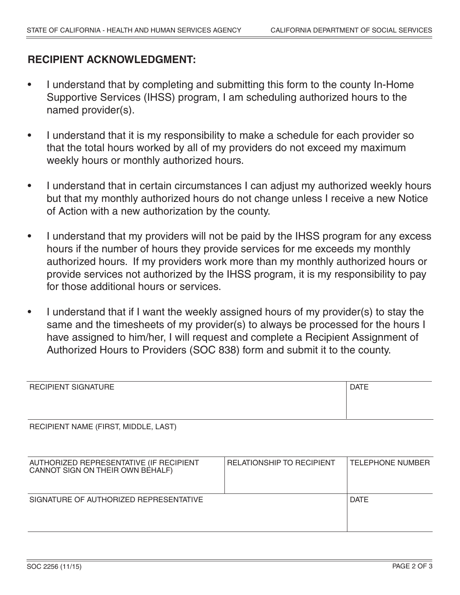### **RECIPIENT ACKNOWLEDGMENT:**

- I understand that by completing and submitting this form to the county In-Home Supportive Services (IHSS) program, I am scheduling authorized hours to the named provider(s).
- I understand that it is my responsibility to make a schedule for each provider so that the total hours worked by all of my providers do not exceed my maximum weekly hours or monthly authorized hours.
- I understand that in certain circumstances I can adjust my authorized weekly hours but that my monthly authorized hours do not change unless I receive a new Notice of Action with a new authorization by the county.
- I understand that my providers will not be paid by the IHSS program for any excess hours if the number of hours they provide services for me exceeds my monthly authorized hours. If my providers work more than my monthly authorized hours or provide services not authorized by the IHSS program, it is my responsibility to pay for those additional hours or services.
- I understand that if I want the weekly assigned hours of my provider(s) to stay the same and the timesheets of my provider(s) to always be processed for the hours I have assigned to him/her, I will request and complete a Recipient Assignment of Authorized Hours to Providers (SOC 838) form and submit it to the county.

| <b>RECIPIENT SIGNATURE</b>                                                  |                                  | <b>DATE</b>             |
|-----------------------------------------------------------------------------|----------------------------------|-------------------------|
|                                                                             |                                  |                         |
| RECIPIENT NAME (FIRST, MIDDLE, LAST)                                        |                                  |                         |
|                                                                             |                                  |                         |
| AUTHORIZED REPRESENTATIVE (IF RECIPIENT<br>CANNOT SIGN ON THEIR OWN BEHALF) | <b>RELATIONSHIP TO RECIPIENT</b> | <b>TELEPHONE NUMBER</b> |
|                                                                             |                                  |                         |
| SIGNATURE OF AUTHORIZED REPRESENTATIVE                                      |                                  | <b>DATE</b>             |
|                                                                             |                                  |                         |